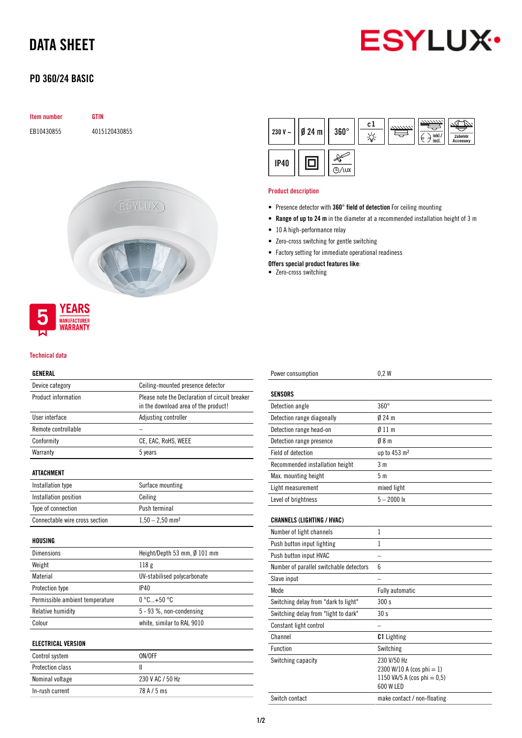# DATA SHEET



## PD 360/24 BASIC

# Item number GTIN EB10430855 4015120430855 (ESYLUX)



#### Technical data

#### GENERAL

| Device category                 | Ceiling-mounted presence detector                                                      |  |
|---------------------------------|----------------------------------------------------------------------------------------|--|
| Product information             | Please note the Declaration of circuit breaker<br>in the download area of the product! |  |
| User interface                  | Adjusting controller                                                                   |  |
| Remote controllable             |                                                                                        |  |
| Conformity                      | CE, EAC, RoHS, WEEE                                                                    |  |
| Warranty                        | 5 years                                                                                |  |
| ATTACHMENT                      |                                                                                        |  |
| Installation type               | Surface mounting                                                                       |  |
| Installation position           | Ceiling                                                                                |  |
| Type of connection              | Push terminal                                                                          |  |
| Connectable wire cross section  | $1,50 - 2,50$ mm <sup>2</sup>                                                          |  |
| HOUSING                         |                                                                                        |  |
| Dimensions                      | Height/Depth 53 mm, Ø 101 mm                                                           |  |
| Weight                          | 118 <sub>g</sub>                                                                       |  |
| Material                        | UV-stabilised polycarbonate                                                            |  |
| Protection type                 | IP40                                                                                   |  |
| Permissible ambient temperature | $0^{\circ}$ C +50 $^{\circ}$ C                                                         |  |
| <b>Relative humidity</b>        | 5 - 93 %, non-condensing                                                               |  |
| Colour                          | white, similar to RAL 9010                                                             |  |
| <b>ELECTRICAL VERSION</b>       |                                                                                        |  |
| Control system                  | ON/OFF                                                                                 |  |
| Protection class                | Ш                                                                                      |  |
| Nominal voltage                 | 230 V AC / 50 Hz                                                                       |  |

In-rush current 78 A / 5 ms

| 230 V $\sim$ | $\emptyset$ 24 m | $360^\circ$ | c1 | 7777777. | inkl./<br>d<br>Ь<br>incl. | Zubehör<br>Accessory |
|--------------|------------------|-------------|----|----------|---------------------------|----------------------|
| <b>IP40</b>  |                  | Ίυχ         |    |          |                           |                      |

#### Product description

- Presence detector with 360° field of detection For ceiling mounting
- Range of up to 24 m in the diameter at a recommended installation height of 3 m
- 10 A high-performance relay
- Zero-cross switching for gentle switching
- Factory setting for immediate operational readiness

Offers special product features like:

• Zero-cross switching

| Power consumption                       | 0.2W                                                                                    |
|-----------------------------------------|-----------------------------------------------------------------------------------------|
| <b>SENSORS</b>                          |                                                                                         |
| Detection angle                         | $360^\circ$                                                                             |
| Detection range diagonally              | $024 \text{ m}$                                                                         |
|                                         |                                                                                         |
| Detection range head-on                 | $\emptyset$ 11 m                                                                        |
| Detection range presence                | 08 <sub>m</sub>                                                                         |
| Field of detection                      | up to 453 m <sup>2</sup>                                                                |
| Recommended installation height         | 3 <sub>m</sub>                                                                          |
| Max. mounting height                    | 5 <sub>m</sub>                                                                          |
| Light measurement                       | mixed light                                                                             |
| Level of brightness                     | $5 - 2000$ lx                                                                           |
| <b>CHANNELS (LIGHTING / HVAC)</b>       |                                                                                         |
| Number of light channels                | 1                                                                                       |
| Push button input lighting              | 1                                                                                       |
| Push button input HVAC                  |                                                                                         |
| Number of parallel switchable detectors | 6                                                                                       |
| Slave input                             |                                                                                         |
| <b>Mode</b>                             | Fully automatic                                                                         |
| Switching delay from "dark to light"    | 300 s                                                                                   |
| Switching delay from "light to dark"    | 30 <sub>s</sub>                                                                         |
| Constant light control                  |                                                                                         |
| Channel                                 | <b>C1</b> Lighting                                                                      |
| <b>Function</b>                         | Switching                                                                               |
| Switching capacity                      | 230 V/50 Hz<br>2300 W/10 A (cos phi = 1)<br>1150 VA/5 A (cos phi = $0,5$ )<br>600 W LED |
| Switch contact                          | make contact / non-floating                                                             |